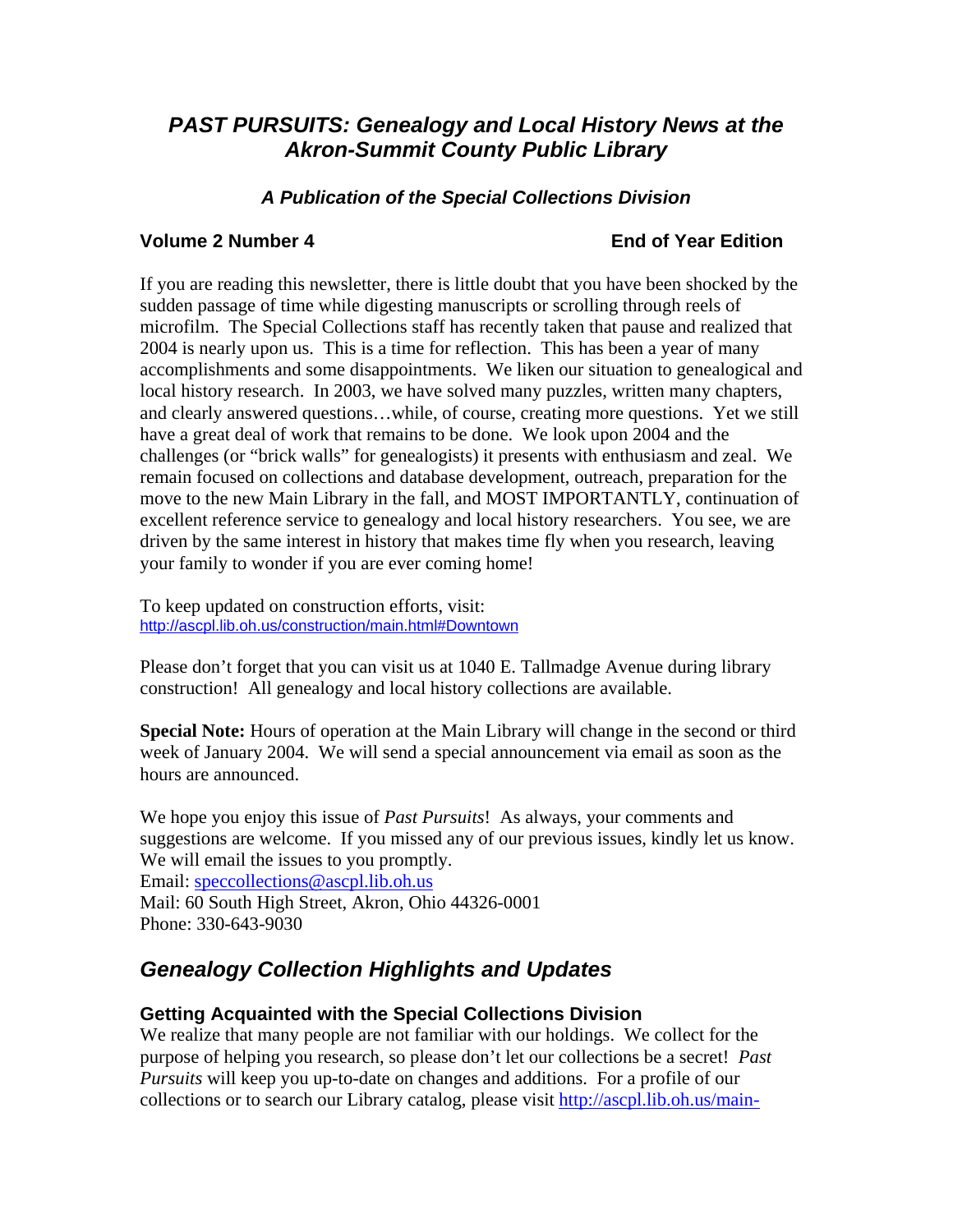# *PAST PURSUITS: Genealogy and Local History News at the Akron-Summit County Public Library*

### *A Publication of the Special Collections Division*

#### **Volume 2 Number 4 End of Year Edition**

If you are reading this newsletter, there is little doubt that you have been shocked by the sudden passage of time while digesting manuscripts or scrolling through reels of microfilm. The Special Collections staff has recently taken that pause and realized that 2004 is nearly upon us. This is a time for reflection. This has been a year of many accomplishments and some disappointments. We liken our situation to genealogical and local history research. In 2003, we have solved many puzzles, written many chapters, and clearly answered questions…while, of course, creating more questions. Yet we still have a great deal of work that remains to be done. We look upon 2004 and the challenges (or "brick walls" for genealogists) it presents with enthusiasm and zeal. We remain focused on collections and database development, outreach, preparation for the move to the new Main Library in the fall, and MOST IMPORTANTLY, continuation of excellent reference service to genealogy and local history researchers. You see, we are driven by the same interest in history that makes time fly when you research, leaving your family to wonder if you are ever coming home!

To keep updated on construction efforts, visit: <http://ascpl.lib.oh.us/construction/main.html#Downtown>

Please don't forget that you can visit us at 1040 E. Tallmadge Avenue during library construction! All genealogy and local history collections are available.

**Special Note:** Hours of operation at the Main Library will change in the second or third week of January 2004. We will send a special announcement via email as soon as the hours are announced.

We hope you enjoy this issue of *Past Pursuits*! As always, your comments and suggestions are welcome. If you missed any of our previous issues, kindly let us know. We will email the issues to you promptly. Email: speccollections@ascpl.lib.oh.us Mail: 60 South High Street, Akron, Ohio 44326-0001 Phone: 330-643-9030

# *Genealogy Collection Highlights and Updates*

#### **Getting Acquainted with the Special Collections Division**

We realize that many people are not familiar with our holdings. We collect for the purpose of helping you research, so please don't let our collections be a secret! *Past Pursuits* will keep you up-to-date on changes and additions. For a profile of our collections or to search our Library catalog, please visit http://ascpl.lib.oh.us/main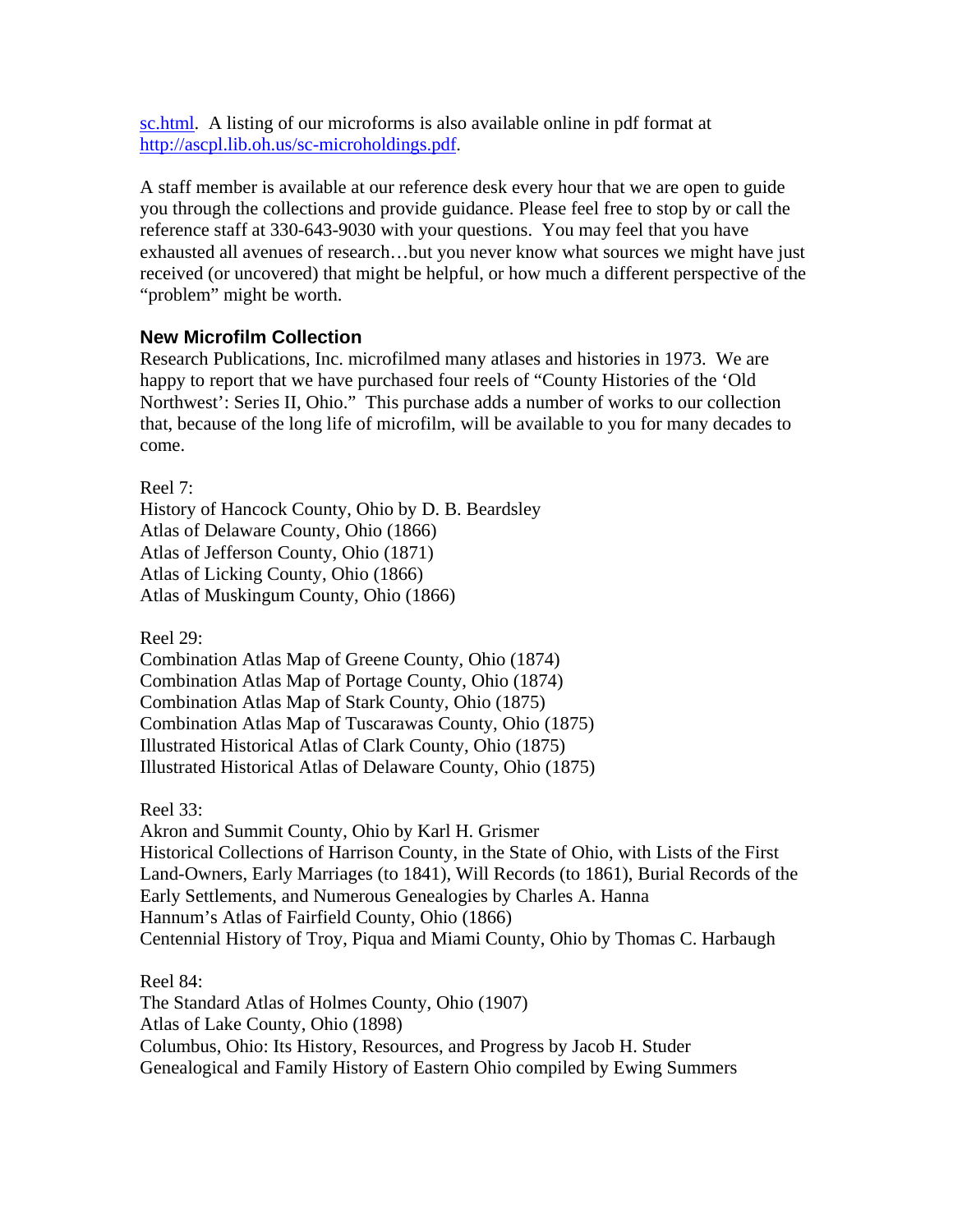sc.html. A listing of our microforms is also available online in pdf format at <http://ascpl.lib.oh.us/sc-microholdings.pdf>.

A staff member is available at our reference desk every hour that we are open to guide you through the collections and provide guidance. Please feel free to stop by or call the reference staff at 330-643-9030 with your questions. You may feel that you have exhausted all avenues of research…but you never know what sources we might have just received (or uncovered) that might be helpful, or how much a different perspective of the "problem" might be worth.

### **New Microfilm Collection**

Research Publications, Inc. microfilmed many atlases and histories in 1973. We are happy to report that we have purchased four reels of "County Histories of the 'Old Northwest': Series II, Ohio." This purchase adds a number of works to our collection that, because of the long life of microfilm, will be available to you for many decades to come.

Reel 7:

History of Hancock County, Ohio by D. B. Beardsley Atlas of Delaware County, Ohio (1866) Atlas of Jefferson County, Ohio (1871) Atlas of Licking County, Ohio (1866) Atlas of Muskingum County, Ohio (1866)

Reel  $29$ :

Combination Atlas Map of Greene County, Ohio (1874) Combination Atlas Map of Portage County, Ohio (1874) Combination Atlas Map of Stark County, Ohio (1875) Combination Atlas Map of Tuscarawas County, Ohio (1875) Illustrated Historical Atlas of Clark County, Ohio (1875) Illustrated Historical Atlas of Delaware County, Ohio (1875)

Reel 33:

Akron and Summit County, Ohio by Karl H. Grismer Historical Collections of Harrison County, in the State of Ohio, with Lists of the First Land-Owners, Early Marriages (to 1841), Will Records (to 1861), Burial Records of the Early Settlements, and Numerous Genealogies by Charles A. Hanna Hannum's Atlas of Fairfield County, Ohio (1866) Centennial History of Troy, Piqua and Miami County, Ohio by Thomas C. Harbaugh

Reel 84:

The Standard Atlas of Holmes County, Ohio (1907) Atlas of Lake County, Ohio (1898) Columbus, Ohio: Its History, Resources, and Progress by Jacob H. Studer Genealogical and Family History of Eastern Ohio compiled by Ewing Summers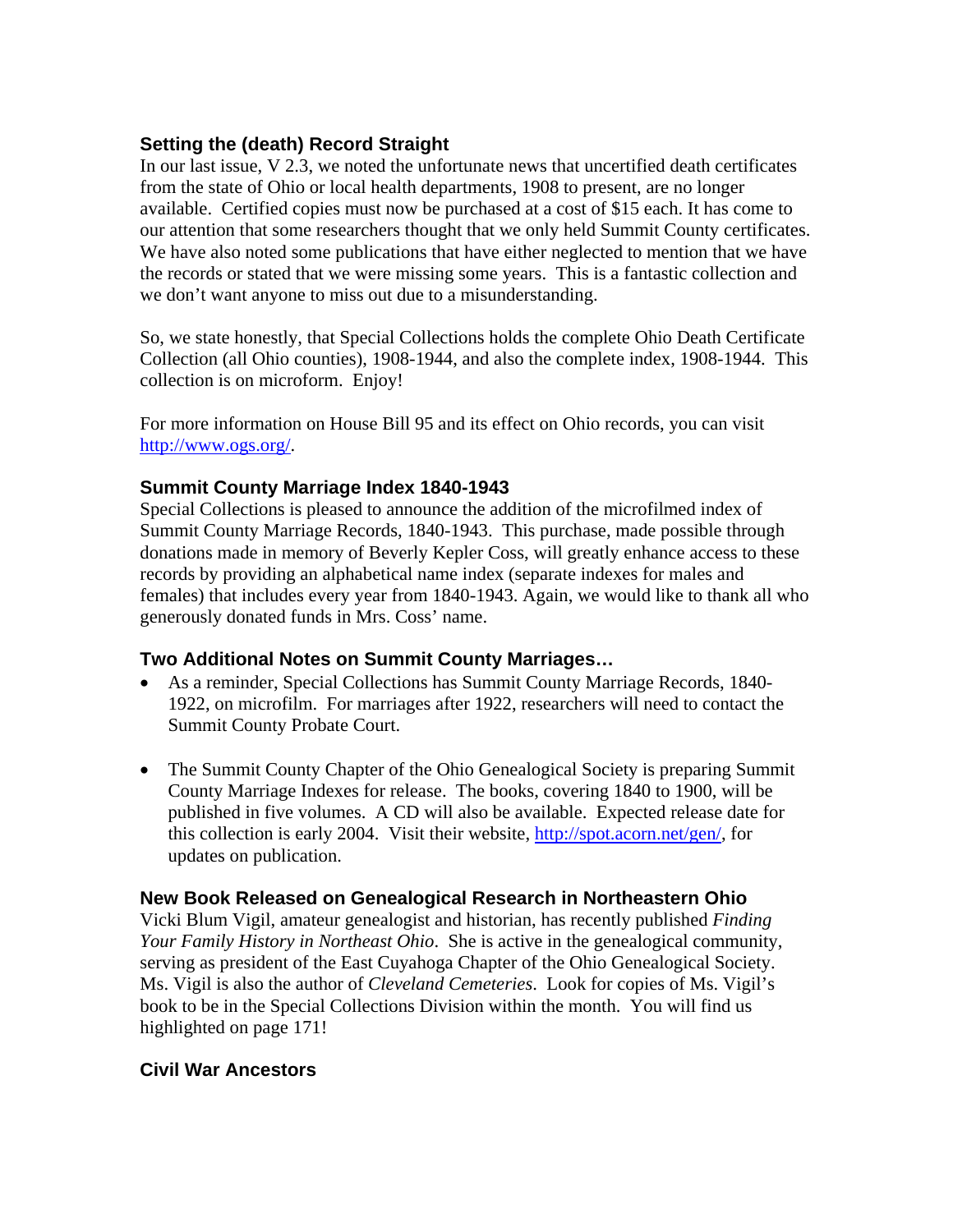## **Setting the (death) Record Straight**

In our last issue, V 2.3, we noted the unfortunate news that uncertified death certificates from the state of Ohio or local health departments, 1908 to present, are no longer available. Certified copies must now be purchased at a cost of \$15 each. It has come to our attention that some researchers thought that we only held Summit County certificates. We have also noted some publications that have either neglected to mention that we have the records or stated that we were missing some years. This is a fantastic collection and we don't want anyone to miss out due to a misunderstanding.

So, we state honestly, that Special Collections holds the complete Ohio Death Certificate Collection (all Ohio counties), 1908-1944, and also the complete index, 1908-1944. This collection is on microform. Enjoy!

For more information on House Bill 95 and its effect on Ohio records, you can visit [http://www.ogs.org/.](http://www.ogs.org/)

### **Summit County Marriage Index 1840-1943**

Special Collections is pleased to announce the addition of the microfilmed index of Summit County Marriage Records, 1840-1943. This purchase, made possible through donations made in memory of Beverly Kepler Coss, will greatly enhance access to these records by providing an alphabetical name index (separate indexes for males and females) that includes every year from 1840-1943. Again, we would like to thank all who generously donated funds in Mrs. Coss' name.

## **Two Additional Notes on Summit County Marriages…**

- As a reminder, Special Collections has Summit County Marriage Records, 1840- 1922, on microfilm. For marriages after 1922, researchers will need to contact the Summit County Probate Court.
- The Summit County Chapter of the Ohio Genealogical Society is preparing Summit County Marriage Indexes for release. The books, covering 1840 to 1900, will be published in five volumes. A CD will also be available. Expected release date for this collection is early 2004. Visit their website, [http://spot.acorn.net/gen/,](http://spot.acorn.net/gen/) for updates on publication.

## **New Book Released on Genealogical Research in Northeastern Ohio**

Vicki Blum Vigil, amateur genealogist and historian, has recently published *Finding Your Family History in Northeast Ohio*. She is active in the genealogical community, serving as president of the East Cuyahoga Chapter of the Ohio Genealogical Society. Ms. Vigil is also the author of *Cleveland Cemeteries*. Look for copies of Ms. Vigil's book to be in the Special Collections Division within the month. You will find us highlighted on page 171!

## **Civil War Ancestors**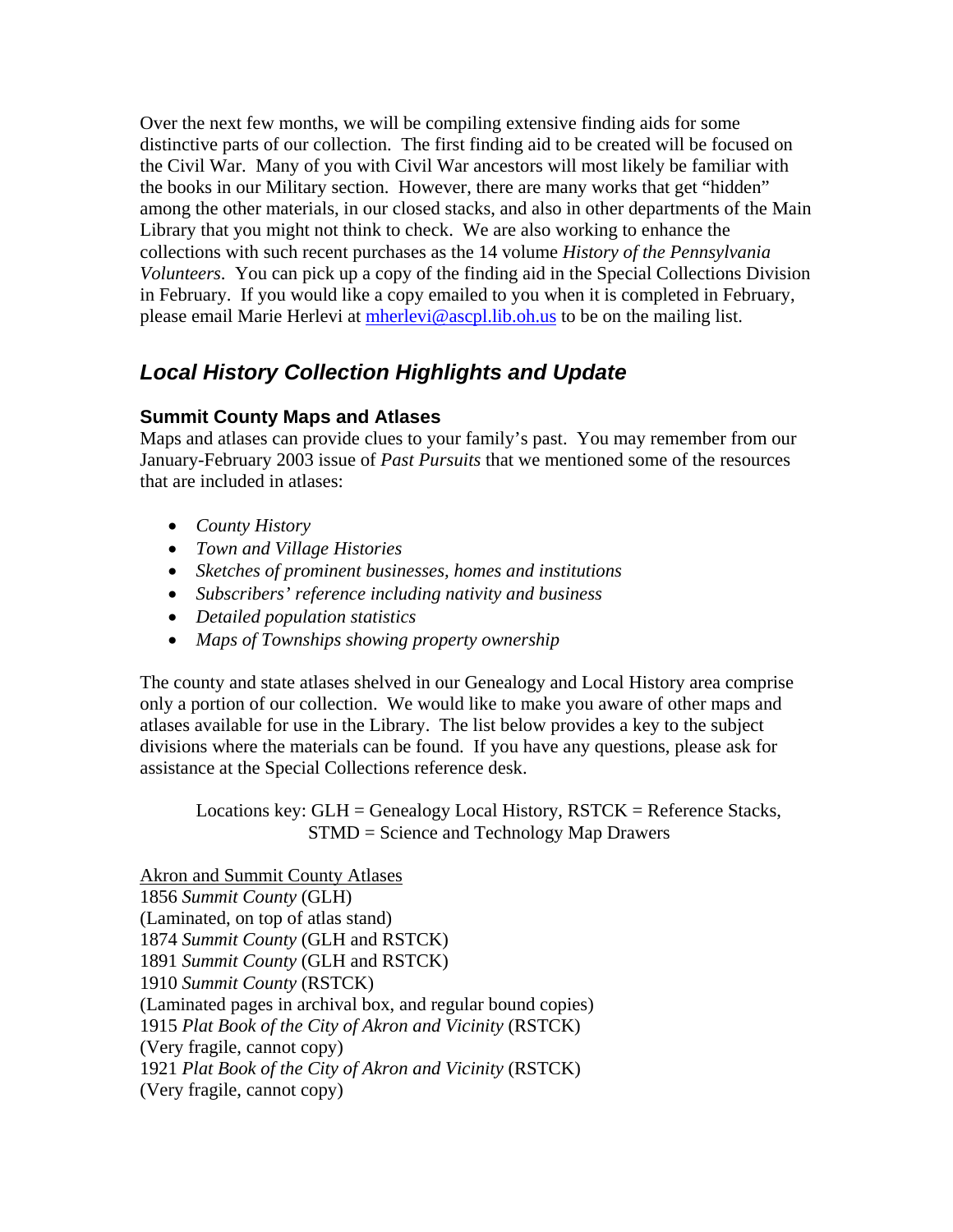Over the next few months, we will be compiling extensive finding aids for some distinctive parts of our collection. The first finding aid to be created will be focused on the Civil War. Many of you with Civil War ancestors will most likely be familiar with the books in our Military section. However, there are many works that get "hidden" among the other materials, in our closed stacks, and also in other departments of the Main Library that you might not think to check. We are also working to enhance the collections with such recent purchases as the 14 volume *History of the Pennsylvania Volunteers*. You can pick up a copy of the finding aid in the Special Collections Division in February. If you would like a copy emailed to you when it is completed in February, please email Marie Herlevi at [mherlevi@ascpl.lib.oh.us](mailto:mherlevi@ascpl.lib.oh.us) to be on the mailing list.

# *Local History Collection Highlights and Update*

## **Summit County Maps and Atlases**

Maps and atlases can provide clues to your family's past. You may remember from our January-February 2003 issue of *Past Pursuits* that we mentioned some of the resources that are included in atlases:

- *County History*
- *Town and Village Histories*
- *Sketches of prominent businesses, homes and institutions*
- *Subscribers' reference including nativity and business*
- *Detailed population statistics*
- *Maps of Townships showing property ownership*

The county and state atlases shelved in our Genealogy and Local History area comprise only a portion of our collection. We would like to make you aware of other maps and atlases available for use in the Library. The list below provides a key to the subject divisions where the materials can be found. If you have any questions, please ask for assistance at the Special Collections reference desk.

Locations key: GLH = Genealogy Local History, RSTCK = Reference Stacks, STMD = Science and Technology Map Drawers

Akron and Summit County Atlases 1856 *Summit County* (GLH) (Laminated, on top of atlas stand) 1874 *Summit County* (GLH and RSTCK) 1891 *Summit County* (GLH and RSTCK) 1910 *Summit County* (RSTCK) (Laminated pages in archival box, and regular bound copies) 1915 *Plat Book of the City of Akron and Vicinity* (RSTCK) (Very fragile, cannot copy) 1921 *Plat Book of the City of Akron and Vicinity* (RSTCK) (Very fragile, cannot copy)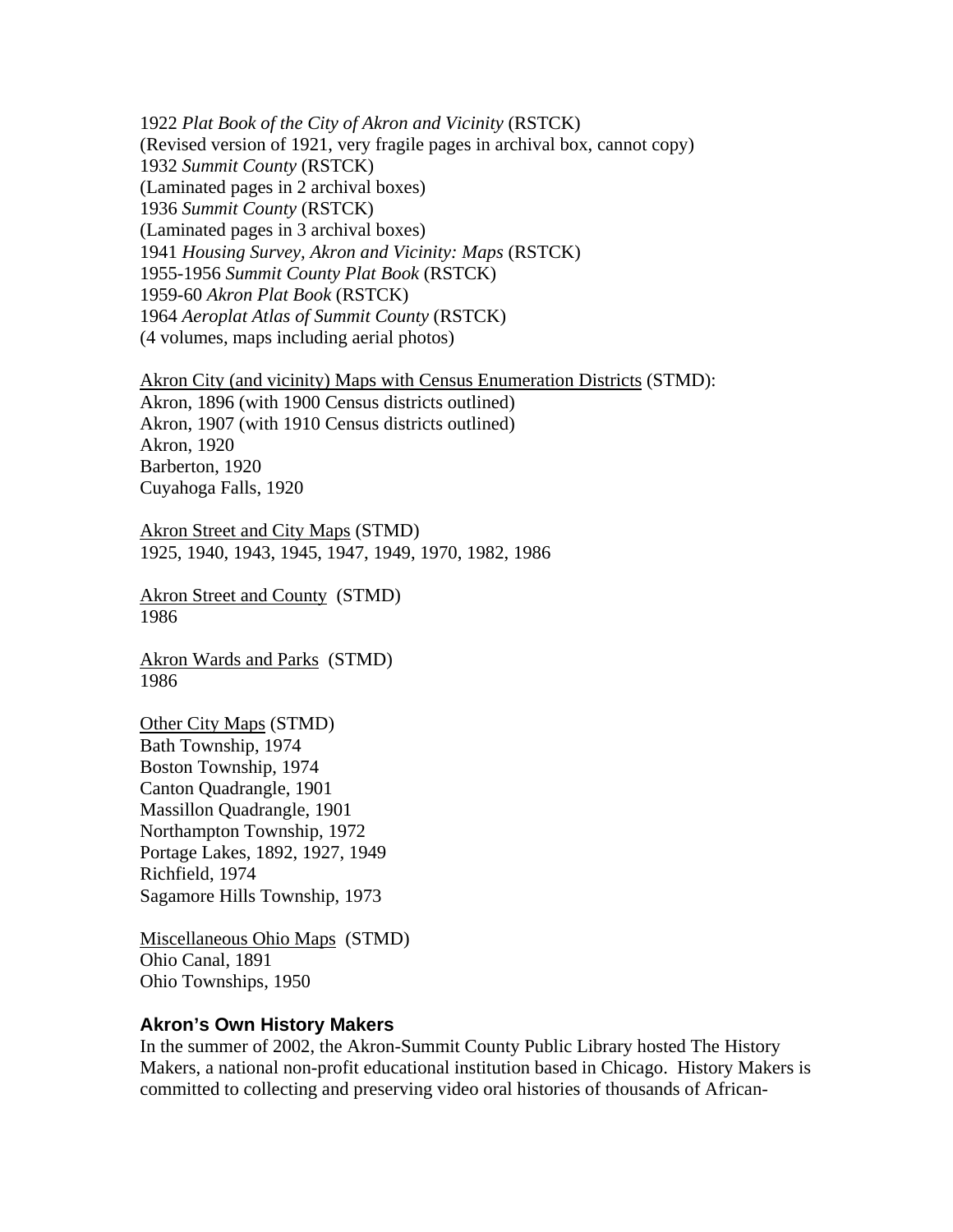1922 *Plat Book of the City of Akron and Vicinity* (RSTCK) (Revised version of 1921, very fragile pages in archival box, cannot copy) 1932 *Summit County* (RSTCK) (Laminated pages in 2 archival boxes) 1936 *Summit County* (RSTCK) (Laminated pages in 3 archival boxes) 1941 *Housing Survey, Akron and Vicinity: Maps* (RSTCK) 1955-1956 *Summit County Plat Book* (RSTCK) 1959-60 *Akron Plat Book* (RSTCK) 1964 *Aeroplat Atlas of Summit County* (RSTCK) (4 volumes, maps including aerial photos)

Akron City (and vicinity) Maps with Census Enumeration Districts (STMD): Akron, 1896 (with 1900 Census districts outlined) Akron, 1907 (with 1910 Census districts outlined) Akron, 1920 Barberton, 1920 Cuyahoga Falls, 1920

Akron Street and City Maps (STMD) 1925, 1940, 1943, 1945, 1947, 1949, 1970, 1982, 1986

Akron Street and County (STMD) 1986

Akron Wards and Parks (STMD) 1986

Other City Maps (STMD) Bath Township, 1974 Boston Township, 1974 Canton Quadrangle, 1901 Massillon Quadrangle, 1901 Northampton Township, 1972 Portage Lakes, 1892, 1927, 1949 Richfield, 1974 Sagamore Hills Township, 1973

Miscellaneous Ohio Maps (STMD) Ohio Canal, 1891 Ohio Townships, 1950

#### **Akron's Own History Makers**

In the summer of 2002, the Akron-Summit County Public Library hosted The History Makers, a national non-profit educational institution based in Chicago. History Makers is committed to collecting and preserving video oral histories of thousands of African-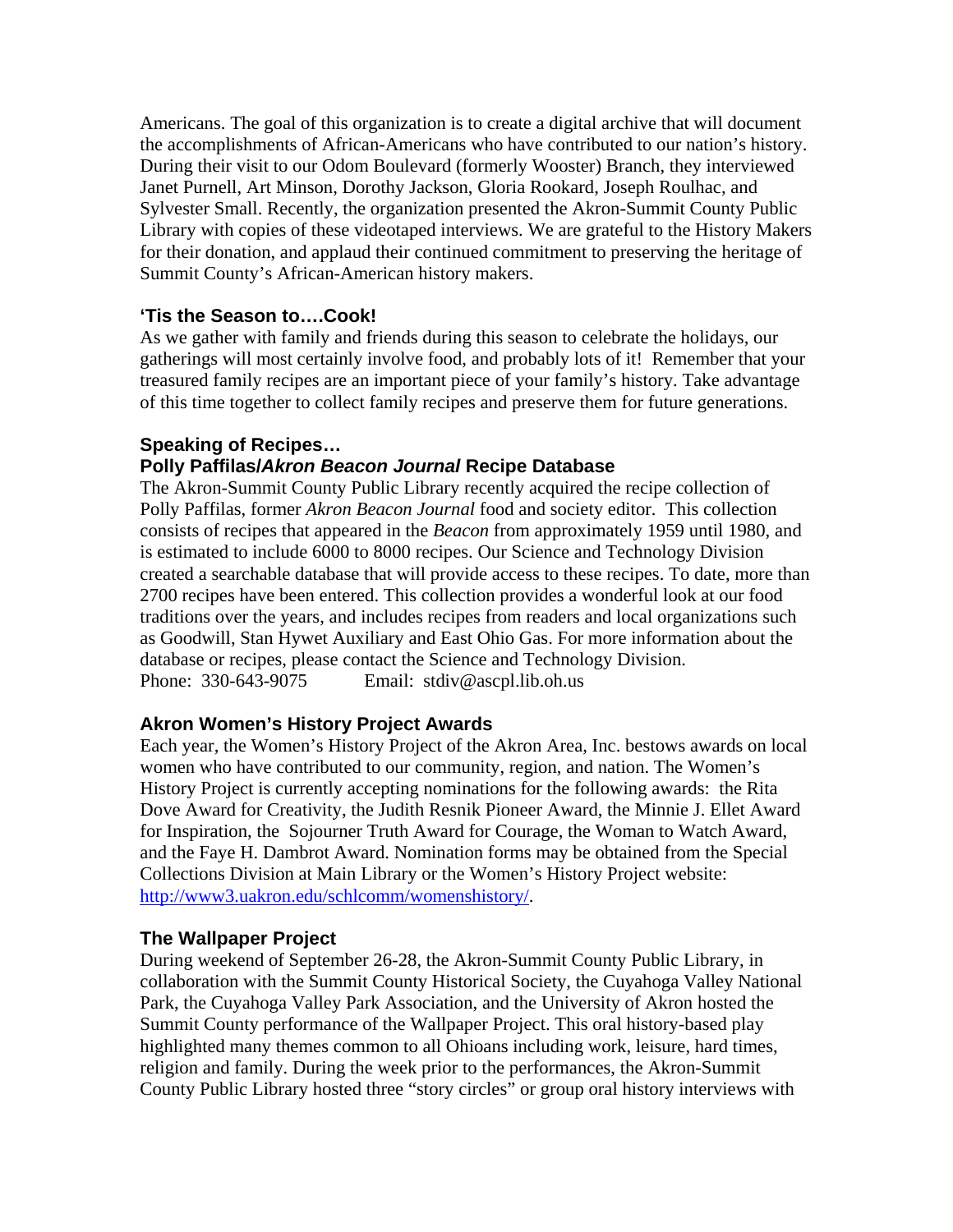Americans. The goal of this organization is to create a digital archive that will document the accomplishments of African-Americans who have contributed to our nation's history. During their visit to our Odom Boulevard (formerly Wooster) Branch, they interviewed Janet Purnell, Art Minson, Dorothy Jackson, Gloria Rookard, Joseph Roulhac, and Sylvester Small. Recently, the organization presented the Akron-Summit County Public Library with copies of these videotaped interviews. We are grateful to the History Makers for their donation, and applaud their continued commitment to preserving the heritage of Summit County's African-American history makers.

#### **'Tis the Season to….Cook!**

As we gather with family and friends during this season to celebrate the holidays, our gatherings will most certainly involve food, and probably lots of it! Remember that your treasured family recipes are an important piece of your family's history. Take advantage of this time together to collect family recipes and preserve them for future generations.

#### **Speaking of Recipes… Polly Paffilas/***Akron Beacon Journal* **Recipe Database**

The Akron-Summit County Public Library recently acquired the recipe collection of Polly Paffilas, former *Akron Beacon Journal* food and society editor. This collection consists of recipes that appeared in the *Beacon* from approximately 1959 until 1980, and is estimated to include 6000 to 8000 recipes. Our Science and Technology Division created a searchable database that will provide access to these recipes. To date, more than 2700 recipes have been entered. This collection provides a wonderful look at our food traditions over the years, and includes recipes from readers and local organizations such as Goodwill, Stan Hywet Auxiliary and East Ohio Gas. For more information about the database or recipes, please contact the Science and Technology Division. Phone: 330-643-9075 Email: stdiv@ascpl.lib.oh.us

#### **Akron Women's History Project Awards**

Each year, the Women's History Project of the Akron Area, Inc. bestows awards on local women who have contributed to our community, region, and nation. The Women's History Project is currently accepting nominations for the following awards: the Rita Dove Award for Creativity, the Judith Resnik Pioneer Award, the Minnie J. Ellet Award for Inspiration, the Sojourner Truth Award for Courage, the Woman to Watch Award, and the Faye H. Dambrot Award. Nomination forms may be obtained from the Special Collections Division at Main Library or the Women's History Project website: <http://www3.uakron.edu/schlcomm/womenshistory/>.

#### **The Wallpaper Project**

During weekend of September 26-28, the Akron-Summit County Public Library, in collaboration with the Summit County Historical Society, the Cuyahoga Valley National Park, the Cuyahoga Valley Park Association, and the University of Akron hosted the Summit County performance of the Wallpaper Project. This oral history-based play highlighted many themes common to all Ohioans including work, leisure, hard times, religion and family. During the week prior to the performances, the Akron-Summit County Public Library hosted three "story circles" or group oral history interviews with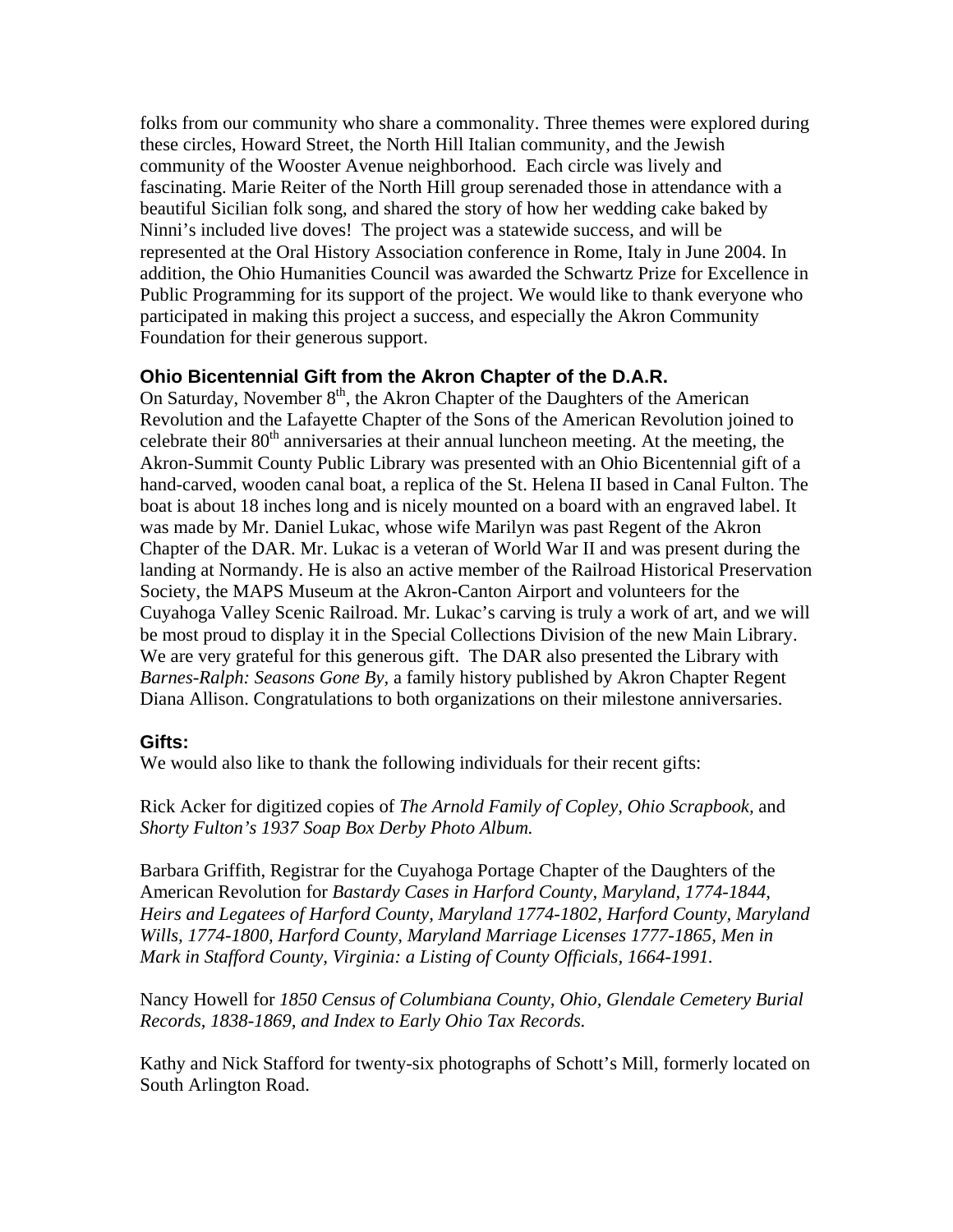folks from our community who share a commonality. Three themes were explored during these circles, Howard Street, the North Hill Italian community, and the Jewish community of the Wooster Avenue neighborhood. Each circle was lively and fascinating. Marie Reiter of the North Hill group serenaded those in attendance with a beautiful Sicilian folk song, and shared the story of how her wedding cake baked by Ninni's included live doves! The project was a statewide success, and will be represented at the Oral History Association conference in Rome, Italy in June 2004. In addition, the Ohio Humanities Council was awarded the Schwartz Prize for Excellence in Public Programming for its support of the project. We would like to thank everyone who participated in making this project a success, and especially the Akron Community Foundation for their generous support.

#### **Ohio Bicentennial Gift from the Akron Chapter of the D.A.R.**

On Saturday, November  $8<sup>th</sup>$ , the Akron Chapter of the Daughters of the American Revolution and the Lafayette Chapter of the Sons of the American Revolution joined to celebrate their  $80<sup>th</sup>$  anniversaries at their annual luncheon meeting. At the meeting, the Akron-Summit County Public Library was presented with an Ohio Bicentennial gift of a hand-carved, wooden canal boat, a replica of the St. Helena II based in Canal Fulton. The boat is about 18 inches long and is nicely mounted on a board with an engraved label. It was made by Mr. Daniel Lukac, whose wife Marilyn was past Regent of the Akron Chapter of the DAR. Mr. Lukac is a veteran of World War II and was present during the landing at Normandy. He is also an active member of the Railroad Historical Preservation Society, the MAPS Museum at the Akron-Canton Airport and volunteers for the Cuyahoga Valley Scenic Railroad. Mr. Lukac's carving is truly a work of art, and we will be most proud to display it in the Special Collections Division of the new Main Library. We are very grateful for this generous gift. The DAR also presented the Library with *Barnes-Ralph: Seasons Gone By,* a family history published by Akron Chapter Regent Diana Allison. Congratulations to both organizations on their milestone anniversaries.

#### **Gifts:**

We would also like to thank the following individuals for their recent gifts:

Rick Acker for digitized copies of *The Arnold Family of Copley, Ohio Scrapbook,* and *Shorty Fulton's 1937 Soap Box Derby Photo Album.* 

Barbara Griffith, Registrar for the Cuyahoga Portage Chapter of the Daughters of the American Revolution for *Bastardy Cases in Harford County, Maryland, 1774-1844, Heirs and Legatees of Harford County, Maryland 1774-1802, Harford County, Maryland Wills, 1774-1800, Harford County, Maryland Marriage Licenses 1777-1865, Men in Mark in Stafford County, Virginia: a Listing of County Officials, 1664-1991.* 

Nancy Howell for *1850 Census of Columbiana County, Ohio, Glendale Cemetery Burial Records, 1838-1869, and Index to Early Ohio Tax Records.* 

Kathy and Nick Stafford for twenty-six photographs of Schott's Mill, formerly located on South Arlington Road.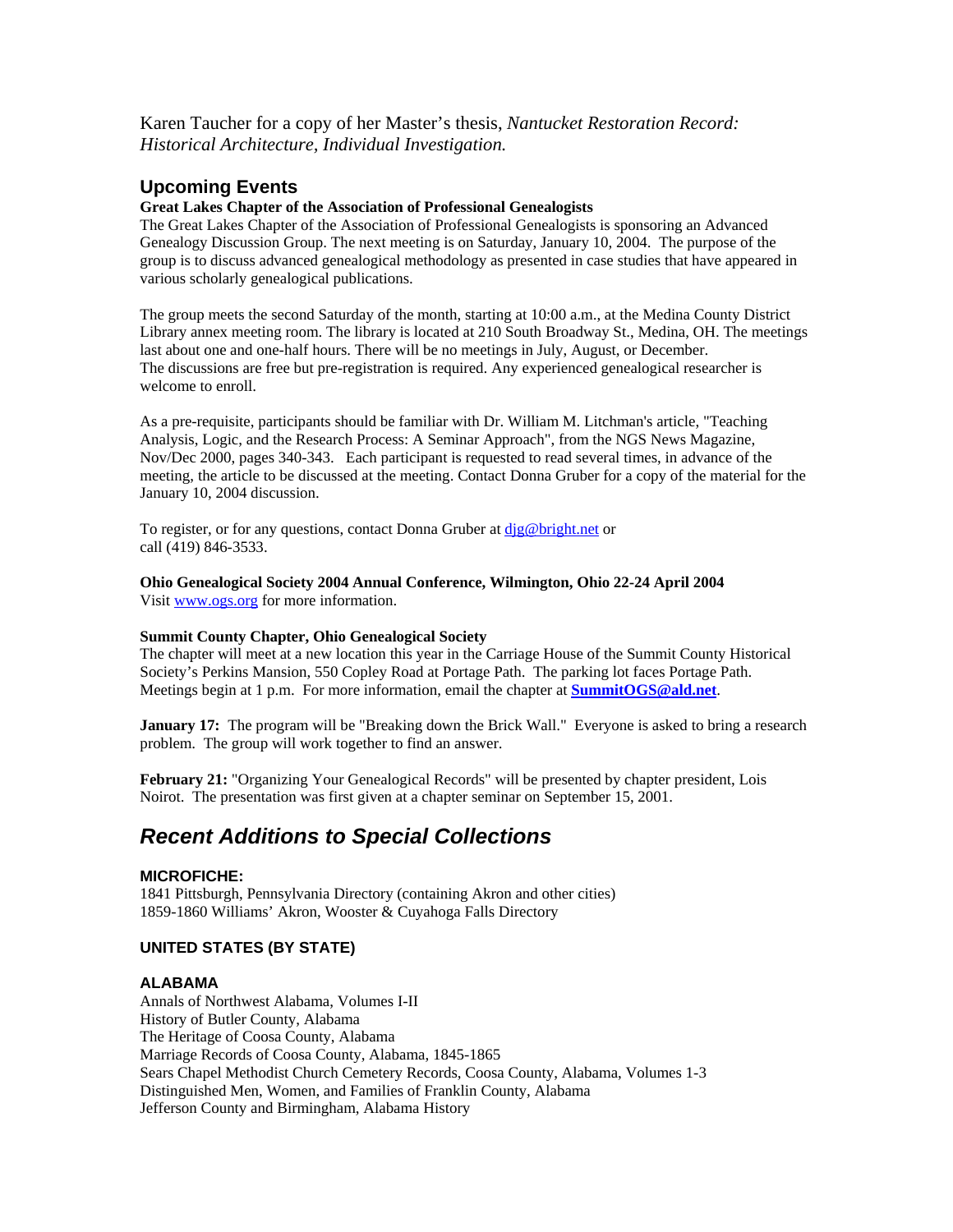Karen Taucher for a copy of her Master's thesis, *Nantucket Restoration Record: Historical Architecture, Individual Investigation.*

#### **Upcoming Events**

#### **Great Lakes Chapter of the Association of Professional Genealogists**

The Great Lakes Chapter of the Association of Professional Genealogists is sponsoring an Advanced Genealogy Discussion Group. The next meeting is on Saturday, January 10, 2004. The purpose of the group is to discuss advanced genealogical methodology as presented in case studies that have appeared in various scholarly genealogical publications.

The group meets the second Saturday of the month, starting at 10:00 a.m., at the Medina County District Library annex meeting room. The library is located at 210 South Broadway St., Medina, OH. The meetings last about one and one-half hours. There will be no meetings in July, August, or December. The discussions are free but pre-registration is required. Any experienced genealogical researcher is welcome to enroll.

As a pre-requisite, participants should be familiar with Dr. William M. Litchman's article, "Teaching Analysis, Logic, and the Research Process: A Seminar Approach", from the NGS News Magazine, Nov/Dec 2000, pages 340-343. Each participant is requested to read several times, in advance of the meeting, the article to be discussed at the meeting. Contact Donna Gruber for a copy of the material for the January 10, 2004 discussion.

To register, or for any questions, contact Donna Gruber at dig@bright.net or call (419) 846-3533.

**Ohio Genealogical Society 2004 Annual Conference, Wilmington, Ohio 22-24 April 2004**  Visit [www.ogs.org](http://www.ogs.org/) for more information.

#### **Summit County Chapter, Ohio Genealogical Society**

The chapter will meet at a new location this year in the Carriage House of the Summit County Historical Society's Perkins Mansion, 550 Copley Road at Portage Path. The parking lot faces Portage Path. Meetings begin at 1 p.m. For more information, email the chapter at **[SummitOGS@ald.net](mailto:SummitOGS@ald.net)**.

**January 17:** The program will be "Breaking down the Brick Wall." Everyone is asked to bring a research problem. The group will work together to find an answer.

**February 21:** "Organizing Your Genealogical Records" will be presented by chapter president, Lois Noirot. The presentation was first given at a chapter seminar on September 15, 2001.

## *Recent Additions to Special Collections*

#### **MICROFICHE:**

1841 Pittsburgh, Pennsylvania Directory (containing Akron and other cities) 1859-1860 Williams' Akron, Wooster & Cuyahoga Falls Directory

#### **UNITED STATES (BY STATE)**

#### **ALABAMA**

Annals of Northwest Alabama, Volumes I-II History of Butler County, Alabama The Heritage of Coosa County, Alabama Marriage Records of Coosa County, Alabama, 1845-1865 Sears Chapel Methodist Church Cemetery Records, Coosa County, Alabama, Volumes 1-3 Distinguished Men, Women, and Families of Franklin County, Alabama Jefferson County and Birmingham, Alabama History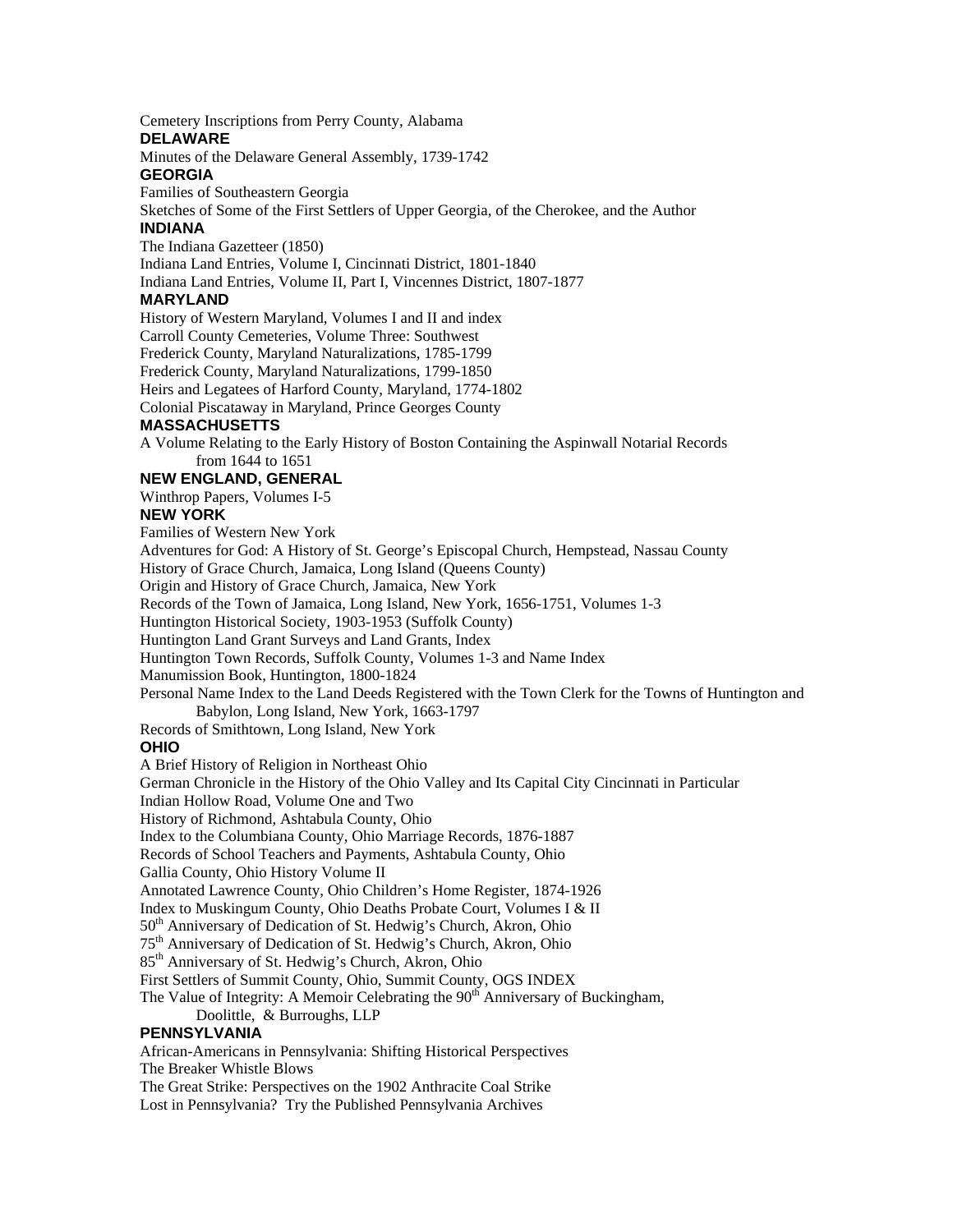Cemetery Inscriptions from Perry County, Alabama **DELAWARE**  Minutes of the Delaware General Assembly, 1739-1742 **GEORGIA**  Families of Southeastern Georgia Sketches of Some of the First Settlers of Upper Georgia, of the Cherokee, and the Author **INDIANA**  The Indiana Gazetteer (1850) Indiana Land Entries, Volume I, Cincinnati District, 1801-1840 Indiana Land Entries, Volume II, Part I, Vincennes District, 1807-1877 **MARYLAND**  History of Western Maryland, Volumes I and II and index Carroll County Cemeteries, Volume Three: Southwest Frederick County, Maryland Naturalizations, 1785-1799 Frederick County, Maryland Naturalizations, 1799-1850 Heirs and Legatees of Harford County, Maryland, 1774-1802 Colonial Piscataway in Maryland, Prince Georges County **MASSACHUSETTS**  A Volume Relating to the Early History of Boston Containing the Aspinwall Notarial Records from 1644 to 1651 **NEW ENGLAND, GENERAL**  Winthrop Papers, Volumes I-5 **NEW YORK**  Families of Western New York Adventures for God: A History of St. George's Episcopal Church, Hempstead, Nassau County History of Grace Church, Jamaica, Long Island (Queens County) Origin and History of Grace Church, Jamaica, New York Records of the Town of Jamaica, Long Island, New York, 1656-1751, Volumes 1-3 Huntington Historical Society, 1903-1953 (Suffolk County) Huntington Land Grant Surveys and Land Grants, Index Huntington Town Records, Suffolk County, Volumes 1-3 and Name Index Manumission Book, Huntington, 1800-1824 Personal Name Index to the Land Deeds Registered with the Town Clerk for the Towns of Huntington and Babylon, Long Island, New York, 1663-1797 Records of Smithtown, Long Island, New York **OHIO**  A Brief History of Religion in Northeast Ohio German Chronicle in the History of the Ohio Valley and Its Capital City Cincinnati in Particular Indian Hollow Road, Volume One and Two History of Richmond, Ashtabula County, Ohio Index to the Columbiana County, Ohio Marriage Records, 1876-1887 Records of School Teachers and Payments, Ashtabula County, Ohio Gallia County, Ohio History Volume II Annotated Lawrence County, Ohio Children's Home Register, 1874-1926 Index to Muskingum County, Ohio Deaths Probate Court, Volumes I & II 50<sup>th</sup> Anniversary of Dedication of St. Hedwig's Church, Akron, Ohio 75th Anniversary of Dedication of St. Hedwig's Church, Akron, Ohio 85<sup>th</sup> Anniversary of St. Hedwig's Church, Akron, Ohio First Settlers of Summit County, Ohio, Summit County, OGS INDEX The Value of Integrity: A Memoir Celebrating the  $90<sup>th</sup>$  Anniversary of Buckingham, Doolittle, & Burroughs, LLP **PENNSYLVANIA**  African-Americans in Pennsylvania: Shifting Historical Perspectives The Breaker Whistle Blows The Great Strike: Perspectives on the 1902 Anthracite Coal Strike

Lost in Pennsylvania? Try the Published Pennsylvania Archives